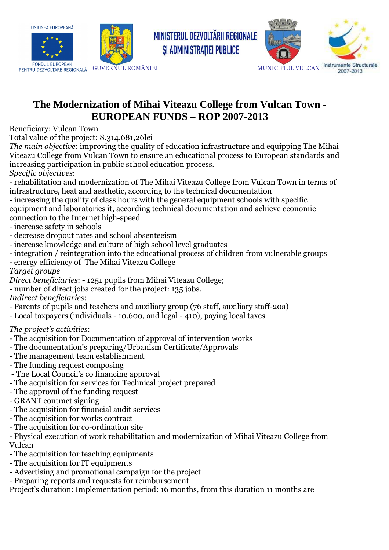



FONDUL EUROPEAN<br>PENTRU DEZVOLTARE REGIONALĂ GUVERNUL ROMÂNIEI MUNICIPIUL VULCAN



## **The Modernization of Mihai Viteazu College from Vulcan Town - EUROPEAN FUNDS – ROP 2007-2013**

*SI ADMINISTRATIEI PUBLICE* 

Beneficiary: Vulcan Town

Total value of the project: 8.314.681,26lei

*The main objective*: improving the quality of education infrastructure and equipping The Mihai Viteazu College from Vulcan Town to ensure an educational process to European standards and increasing participation in public school education process.

*Specific objectives*:

- rehabilitation and modernization of The Mihai Viteazu College from Vulcan Town in terms of infrastructure, heat and aesthetic, according to the technical documentation

- increasing the quality of class hours with the general equipment schools with specific equipment and laboratories it, according technical documentation and achieve economic connection to the Internet high-speed

- increase safety in schools

- decrease dropout rates and school absenteeism
- increase knowledge and culture of high school level graduates
- integration / reintegration into the educational process of children from vulnerable groups
- energy efficiency of The Mihai Viteazu College

*Target groups* 

*Direct beneficiaries*: - 1251 pupils from Mihai Viteazu College;

- number of direct jobs created for the project: 135 jobs.

*Indirect beneficiaries*:

- Parents of pupils and teachers and auxiliary group (76 staff, auxiliary staff-20a)
- Local taxpayers (individuals 10.600, and legal 410), paying local taxes

## *The project's activities*:

- The acquisition for Documentation of approval of intervention works
- The documentation's preparing/Urbanism Certificate/Approvals
- The management team establishment
- The funding request composing
- The Local Council's co financing approval
- The acquisition for services for Technical project prepared
- The approval of the funding request
- GRANT contract signing
- The acquisition for financial audit services
- The acquisition for works contract
- The acquisition for co-ordination site

- Physical execution of work rehabilitation and modernization of Mihai Viteazu College from Vulcan

- The acquisition for teaching equipments
- The acquisition for IT equipments
- Advertising and promotional campaign for the project
- Preparing reports and requests for reimbursement

Project's duration: Implementation period: 16 months, from this duration 11 months are